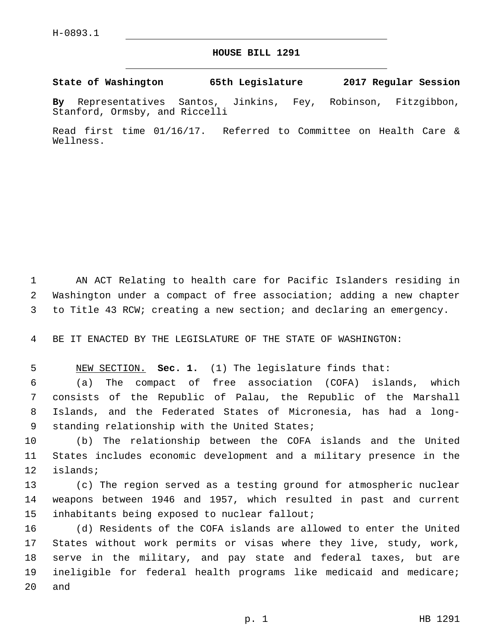## **HOUSE BILL 1291**

**State of Washington 65th Legislature 2017 Regular Session**

**By** Representatives Santos, Jinkins, Fey, Robinson, Fitzgibbon, Stanford, Ormsby, and Riccelli

Read first time 01/16/17. Referred to Committee on Health Care & Wellness.

1 AN ACT Relating to health care for Pacific Islanders residing in 2 Washington under a compact of free association; adding a new chapter 3 to Title 43 RCW; creating a new section; and declaring an emergency.

4 BE IT ENACTED BY THE LEGISLATURE OF THE STATE OF WASHINGTON:

5 NEW SECTION. **Sec. 1.** (1) The legislature finds that:

 (a) The compact of free association (COFA) islands, which consists of the Republic of Palau, the Republic of the Marshall Islands, and the Federated States of Micronesia, has had a long-9 standing relationship with the United States;

10 (b) The relationship between the COFA islands and the United 11 States includes economic development and a military presence in the 12 islands;

13 (c) The region served as a testing ground for atmospheric nuclear 14 weapons between 1946 and 1957, which resulted in past and current 15 inhabitants being exposed to nuclear fallout;

 (d) Residents of the COFA islands are allowed to enter the United States without work permits or visas where they live, study, work, serve in the military, and pay state and federal taxes, but are ineligible for federal health programs like medicaid and medicare; 20 and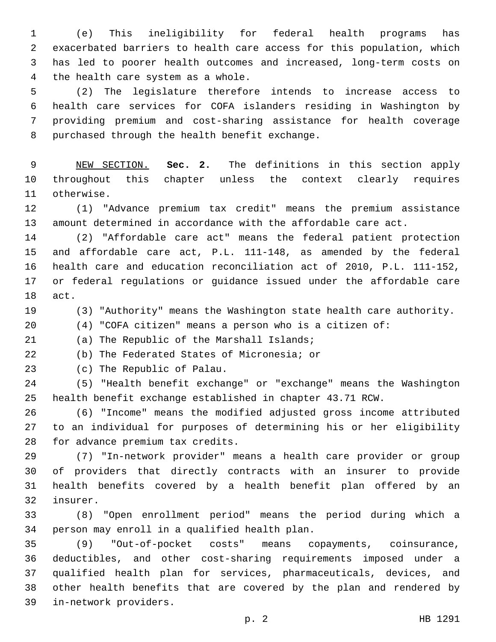(e) This ineligibility for federal health programs has exacerbated barriers to health care access for this population, which has led to poorer health outcomes and increased, long-term costs on 4 the health care system as a whole.

 (2) The legislature therefore intends to increase access to health care services for COFA islanders residing in Washington by providing premium and cost-sharing assistance for health coverage 8 purchased through the health benefit exchange.

 NEW SECTION. **Sec. 2.** The definitions in this section apply throughout this chapter unless the context clearly requires otherwise.

 (1) "Advance premium tax credit" means the premium assistance amount determined in accordance with the affordable care act.

 (2) "Affordable care act" means the federal patient protection and affordable care act, P.L. 111-148, as amended by the federal health care and education reconciliation act of 2010, P.L. 111-152, or federal regulations or guidance issued under the affordable care 18 act.

(3) "Authority" means the Washington state health care authority.

(4) "COFA citizen" means a person who is a citizen of:

21 (a) The Republic of the Marshall Islands;

(b) The Federated States of Micronesia; or

23 (c) The Republic of Palau.

 (5) "Health benefit exchange" or "exchange" means the Washington health benefit exchange established in chapter 43.71 RCW.

 (6) "Income" means the modified adjusted gross income attributed to an individual for purposes of determining his or her eligibility 28 for advance premium tax credits.

 (7) "In-network provider" means a health care provider or group of providers that directly contracts with an insurer to provide health benefits covered by a health benefit plan offered by an 32 insurer.

 (8) "Open enrollment period" means the period during which a 34 person may enroll in a qualified health plan.

 (9) "Out-of-pocket costs" means copayments, coinsurance, deductibles, and other cost-sharing requirements imposed under a qualified health plan for services, pharmaceuticals, devices, and other health benefits that are covered by the plan and rendered by in-network providers.39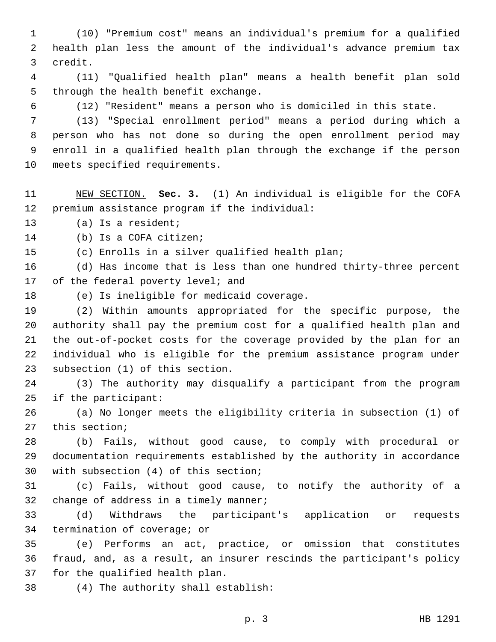1 (10) "Premium cost" means an individual's premium for a qualified 2 health plan less the amount of the individual's advance premium tax 3 credit.

4 (11) "Qualified health plan" means a health benefit plan sold 5 through the health benefit exchange.

6 (12) "Resident" means a person who is domiciled in this state.

 (13) "Special enrollment period" means a period during which a person who has not done so during the open enrollment period may enroll in a qualified health plan through the exchange if the person 10 meets specified requirements.

11 NEW SECTION. **Sec. 3.** (1) An individual is eligible for the COFA 12 premium assistance program if the individual:

13 (a) Is a resident;

14 (b) Is a COFA citizen;

15 (c) Enrolls in a silver qualified health plan;

16 (d) Has income that is less than one hundred thirty-three percent 17 of the federal poverty level; and

18 (e) Is ineligible for medicaid coverage.

 (2) Within amounts appropriated for the specific purpose, the authority shall pay the premium cost for a qualified health plan and the out-of-pocket costs for the coverage provided by the plan for an individual who is eligible for the premium assistance program under 23 subsection (1) of this section.

24 (3) The authority may disqualify a participant from the program 25 if the participant:

26 (a) No longer meets the eligibility criteria in subsection (1) of 27 this section;

28 (b) Fails, without good cause, to comply with procedural or 29 documentation requirements established by the authority in accordance 30 with subsection (4) of this section;

31 (c) Fails, without good cause, to notify the authority of a 32 change of address in a timely manner;

33 (d) Withdraws the participant's application or requests 34 termination of coverage; or

35 (e) Performs an act, practice, or omission that constitutes 36 fraud, and, as a result, an insurer rescinds the participant's policy 37 for the qualified health plan.

(4) The authority shall establish:38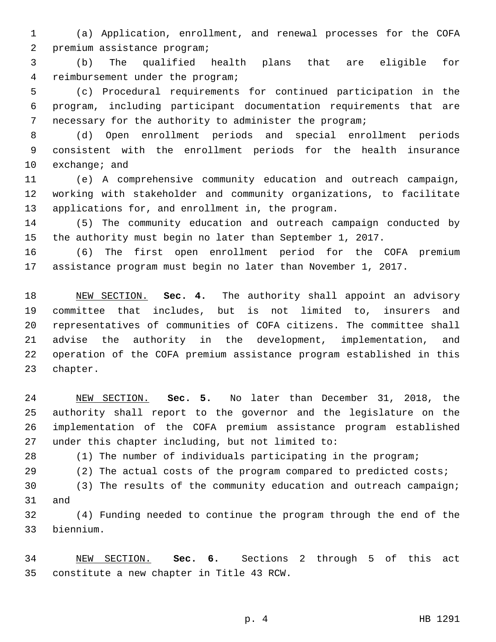(a) Application, enrollment, and renewal processes for the COFA 2 premium assistance program;

 (b) The qualified health plans that are eligible for 4 reimbursement under the program;

 (c) Procedural requirements for continued participation in the program, including participant documentation requirements that are necessary for the authority to administer the program;

 (d) Open enrollment periods and special enrollment periods consistent with the enrollment periods for the health insurance 10  $exchange$ ; and

 (e) A comprehensive community education and outreach campaign, working with stakeholder and community organizations, to facilitate 13 applications for, and enrollment in, the program.

 (5) The community education and outreach campaign conducted by the authority must begin no later than September 1, 2017.

 (6) The first open enrollment period for the COFA premium assistance program must begin no later than November 1, 2017.

 NEW SECTION. **Sec. 4.** The authority shall appoint an advisory committee that includes, but is not limited to, insurers and representatives of communities of COFA citizens. The committee shall advise the authority in the development, implementation, and operation of the COFA premium assistance program established in this chapter.

 NEW SECTION. **Sec. 5.** No later than December 31, 2018, the authority shall report to the governor and the legislature on the implementation of the COFA premium assistance program established under this chapter including, but not limited to:

(1) The number of individuals participating in the program;

(2) The actual costs of the program compared to predicted costs;

 (3) The results of the community education and outreach campaign; 31 and

 (4) Funding needed to continue the program through the end of the biennium.33

 NEW SECTION. **Sec. 6.** Sections 2 through 5 of this act constitute a new chapter in Title 43 RCW.